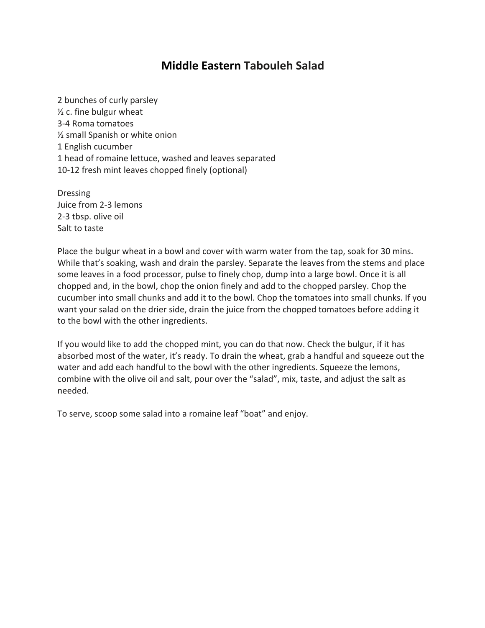## **Middle Eastern Tabouleh Salad**

2 bunches of curly parsley ½ c. fine bulgur wheat 3-4 Roma tomatoes ½ small Spanish or white onion 1 English cucumber 1 head of romaine lettuce, washed and leaves separated 10-12 fresh mint leaves chopped finely (optional)

Dressing Juice from 2-3 lemons 2-3 tbsp. olive oil Salt to taste

Place the bulgur wheat in a bowl and cover with warm water from the tap, soak for 30 mins. While that's soaking, wash and drain the parsley. Separate the leaves from the stems and place some leaves in a food processor, pulse to finely chop, dump into a large bowl. Once it is all chopped and, in the bowl, chop the onion finely and add to the chopped parsley. Chop the cucumber into small chunks and add it to the bowl. Chop the tomatoes into small chunks. If you want your salad on the drier side, drain the juice from the chopped tomatoes before adding it to the bowl with the other ingredients.

If you would like to add the chopped mint, you can do that now. Check the bulgur, if it has absorbed most of the water, it's ready. To drain the wheat, grab a handful and squeeze out the water and add each handful to the bowl with the other ingredients. Squeeze the lemons, combine with the olive oil and salt, pour over the "salad", mix, taste, and adjust the salt as needed.

To serve, scoop some salad into a romaine leaf "boat" and enjoy.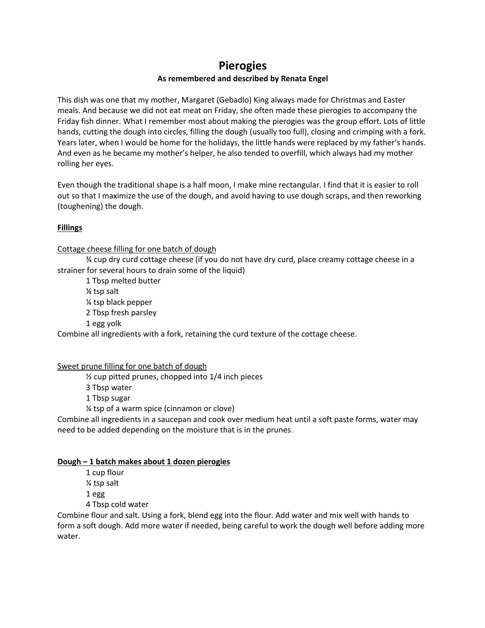### **Pierogies**

#### **As remembered and described by Renata Engel**

This dish was one that my mother, Margaret (Gebadlo) King always made for Christmas and Easter meals. And because we did not eat meat on Friday, she often made these pierogies to accompany the Friday fish dinner. What I remember most about making the pierogies was the group effort. Lots of little hands, cutting the dough into circles, filling the dough (usually too full), closing and crimping with a fork. Years later, when I would be home for the holidays, the little hands were replaced by my father's hands. And even as he became my mother's helper, he also tended to overfill, which always had my mother rolling her eyes.

Even though the traditional shape is a half moon, I make mine rectangular. I find that it is easier to roll out so that I maximize the use of the dough, and avoid having to use dough scraps, and then reworking (toughening) the dough.

#### **Fillings**

#### Cottage cheese filling for one batch of dough

¾ cup dry curd cottage cheese (if you do not have dry curd, place creamy cottage cheese in a strainer for several hours to drain some of the liquid)

1 Tbsp melted butter ¼ tsp salt ¼ tsp black pepper 2 Tbsp fresh parsley 1 egg yolk

Combine all ingredients with a fork, retaining the curd texture of the cottage cheese.

Sweet prune filling for one batch of dough

½ cup pitted prunes, chopped into 1/4 inch pieces

3 Tbsp water

1 Tbsp sugar

¼ tsp of a warm spice (cinnamon or clove)

Combine all ingredients in a saucepan and cook over medium heat until a soft paste forms, water may need to be added depending on the moisture that is in the prunes.

#### **Dough – 1 batch makes about 1 dozen pierogies**

1 cup flour ¼ tsp salt 1 egg 4 Tbsp cold water

Combine flour and salt. Using a fork, blend egg into the flour. Add water and mix well with hands to form a soft dough. Add more water if needed, being careful to work the dough well before adding more water.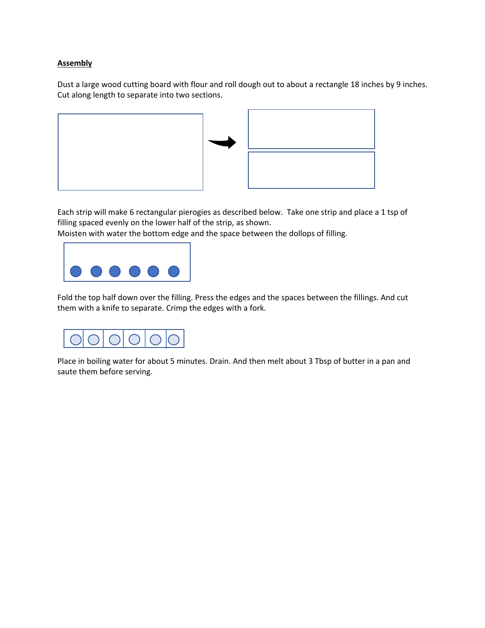#### **Assembly**

Dust a large wood cutting board with flour and roll dough out to about a rectangle 18 inches by 9 inches. Cut along length to separate into two sections.





Each strip will make 6 rectangular pierogies as described below. Take one strip and place a 1 tsp of filling spaced evenly on the lower half of the strip, as shown.

Moisten with water the bottom edge and the space between the dollops of filling.



Fold the top half down over the filling. Press the edges and the spaces between the fillings. And cut them with a knife to separate. Crimp the edges with a fork.



Place in boiling water for about 5 minutes. Drain. And then melt about 3 Tbsp of butter in a pan and saute them before serving.